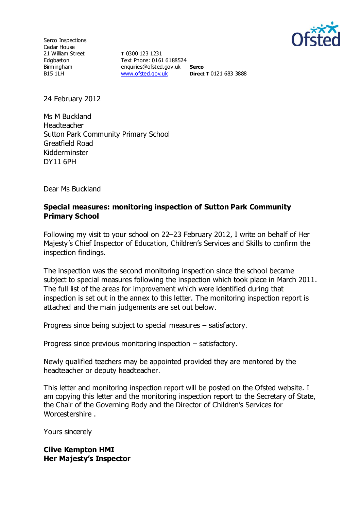

Serco Inspections Cedar House 21 William Street Edgbaston Birmingham B15 1LH

**T** 0300 123 1231 Text Phone: 0161 6188524 enquiries@ofsted.gov.uk **Serco** [www.ofsted.gov.uk](http://www.ofsted.gov.uk/) **Direct T** 0121 683 3888

24 February 2012

Ms M Buckland Headteacher Sutton Park Community Primary School Greatfield Road Kidderminster DY11 6PH

Dear Ms Buckland

### **Special measures: monitoring inspection of Sutton Park Community Primary School**

Following my visit to your school on 22–23 February 2012, I write on behalf of Her Majesty's Chief Inspector of Education, Children's Services and Skills to confirm the inspection findings.

The inspection was the second monitoring inspection since the school became subject to special measures following the inspection which took place in March 2011. The full list of the areas for improvement which were identified during that inspection is set out in the annex to this letter. The monitoring inspection report is attached and the main judgements are set out below.

Progress since being subject to special measures – satisfactory.

Progress since previous monitoring inspection – satisfactory.

Newly qualified teachers may be appointed provided they are mentored by the headteacher or deputy headteacher.

This letter and monitoring inspection report will be posted on the Ofsted website. I am copying this letter and the monitoring inspection report to the Secretary of State, the Chair of the Governing Body and the Director of Children's Services for Worcestershire .

Yours sincerely

#### **Clive Kempton HMI Her Majesty's Inspector**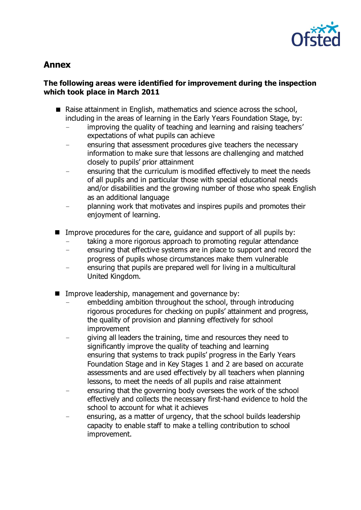

# **Annex**

### **The following areas were identified for improvement during the inspection which took place in March 2011**

- Raise attainment in English, mathematics and science across the school, including in the areas of learning in the Early Years Foundation Stage, by:
	- improving the quality of teaching and learning and raising teachers' expectations of what pupils can achieve
	- ensuring that assessment procedures give teachers the necessary information to make sure that lessons are challenging and matched closely to pupils' prior attainment
	- ensuring that the curriculum is modified effectively to meet the needs of all pupils and in particular those with special educational needs and/or disabilities and the growing number of those who speak English as an additional language
	- planning work that motivates and inspires pupils and promotes their enjoyment of learning.
- Improve procedures for the care, guidance and support of all pupils by:
	- taking a more rigorous approach to promoting regular attendance
	- ensuring that effective systems are in place to support and record the progress of pupils whose circumstances make them vulnerable
	- ensuring that pupils are prepared well for living in a multicultural United Kingdom.
- Improve leadership, management and governance by:
	- embedding ambition throughout the school, through introducing rigorous procedures for checking on pupils' attainment and progress, the quality of provision and planning effectively for school improvement
	- giving all leaders the training, time and resources they need to significantly improve the quality of teaching and learning ensuring that systems to track pupils' progress in the Early Years Foundation Stage and in Key Stages 1 and 2 are based on accurate assessments and are used effectively by all teachers when planning lessons, to meet the needs of all pupils and raise attainment
	- ensuring that the governing body oversees the work of the school effectively and collects the necessary first-hand evidence to hold the school to account for what it achieves
	- ensuring, as a matter of urgency, that the school builds leadership capacity to enable staff to make a telling contribution to school improvement.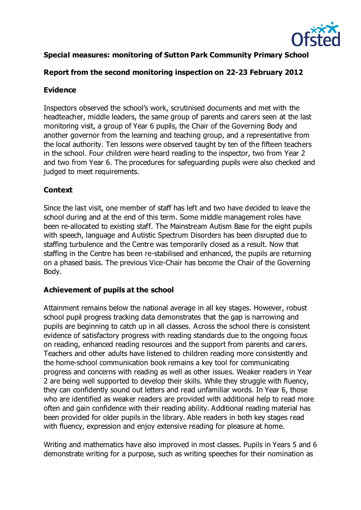

# **Special measures: monitoring of Sutton Park Community Primary School**

## **Report from the second monitoring inspection on 22-23 February 2012**

# **Evidence**

Inspectors observed the school's work, scrutinised documents and met with the headteacher, middle leaders, the same group of parents and carers seen at the last monitoring visit, a group of Year 6 pupils, the Chair of the Governing Body and another governor from the learning and teaching group, and a representative from the local authority. Ten lessons were observed taught by ten of the fifteen teachers in the school. Four children were heard reading to the inspector, two from Year 2 and two from Year 6. The procedures for safeguarding pupils were also checked and judged to meet requirements.

# **Context**

Since the last visit, one member of staff has left and two have decided to leave the school during and at the end of this term. Some middle management roles have been re-allocated to existing staff. The Mainstream Autism Base for the eight pupils with speech, language and Autistic Spectrum Disorders has been disrupted due to staffing turbulence and the Centre was temporarily closed as a result. Now that staffing in the Centre has been re-stabilised and enhanced, the pupils are returning on a phased basis. The previous Vice-Chair has become the Chair of the Governing Body.

## **Achievement of pupils at the school**

Attainment remains below the national average in all key stages. However, robust school pupil progress tracking data demonstrates that the gap is narrowing and pupils are beginning to catch up in all classes. Across the school there is consistent evidence of satisfactory progress with reading standards due to the ongoing focus on reading, enhanced reading resources and the support from parents and carers. Teachers and other adults have listened to children reading more consistently and the home-school communication book remains a key tool for communicating progress and concerns with reading as well as other issues. Weaker readers in Year 2 are being well supported to develop their skills. While they struggle with fluency, they can confidently sound out letters and read unfamiliar words. In Year 6, those who are identified as weaker readers are provided with additional help to read more often and gain confidence with their reading ability. Additional reading material has been provided for older pupils in the library. Able readers in both key stages read with fluency, expression and enjoy extensive reading for pleasure at home.

Writing and mathematics have also improved in most classes. Pupils in Years 5 and 6 demonstrate writing for a purpose, such as writing speeches for their nomination as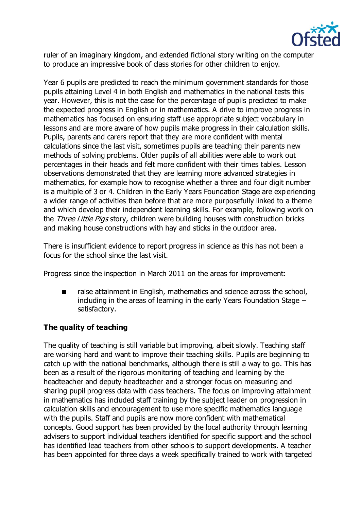

ruler of an imaginary kingdom, and extended fictional story writing on the computer to produce an impressive book of class stories for other children to enjoy.

Year 6 pupils are predicted to reach the minimum government standards for those pupils attaining Level 4 in both English and mathematics in the national tests this year. However, this is not the case for the percentage of pupils predicted to make the expected progress in English or in mathematics. A drive to improve progress in mathematics has focused on ensuring staff use appropriate subject vocabulary in lessons and are more aware of how pupils make progress in their calculation skills. Pupils, parents and carers report that they are more confident with mental calculations since the last visit, sometimes pupils are teaching their parents new methods of solving problems. Older pupils of all abilities were able to work out percentages in their heads and felt more confident with their times tables. Lesson observations demonstrated that they are learning more advanced strategies in mathematics, for example how to recognise whether a three and four digit number is a multiple of 3 or 4. Children in the Early Years Foundation Stage are exp eriencing a wider range of activities than before that are more purposefully linked to a theme and which develop their independent learning skills. For example, following work on the Three Little Pigs story, children were building houses with construction bricks and making house constructions with hay and sticks in the outdoor area.

There is insufficient evidence to report progress in science as this has not been a focus for the school since the last visit.

Progress since the inspection in March 2011 on the areas for improvement:

 raise attainment in English, mathematics and science across the school, including in the areas of learning in the early Years Foundation Stage – satisfactory.

## **The quality of teaching**

The quality of teaching is still variable but improving, albeit slowly. Teaching staff are working hard and want to improve their teaching skills. Pupils are beginning to catch up with the national benchmarks, although there is still a way to go. This has been as a result of the rigorous monitoring of teaching and learning by the headteacher and deputy headteacher and a stronger focus on measuring and sharing pupil progress data with class teachers. The focus on improving attainment in mathematics has included staff training by the subject leader on progression in calculation skills and encouragement to use more specific mathematics language with the pupils. Staff and pupils are now more confident with mathematical concepts. Good support has been provided by the local authority through learning advisers to support individual teachers identified for specific support and the school has identified lead teachers from other schools to support developments. A teacher has been appointed for three days a week specifically trained to work with targeted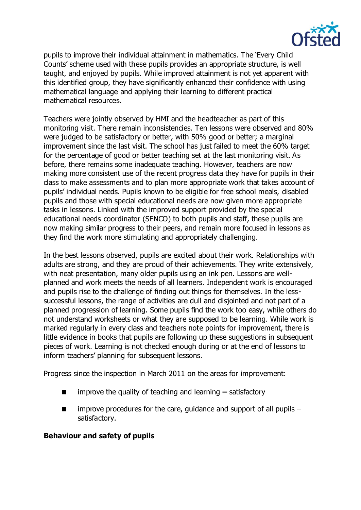

pupils to improve their individual attainment in mathematics. The 'Every Child Counts' scheme used with these pupils provides an appropriate structure, is well taught, and enjoyed by pupils. While improved attainment is not yet apparent with this identified group, they have significantly enhanced their confidence with using mathematical language and applying their learning to different practical mathematical resources.

Teachers were jointly observed by HMI and the headteacher as part of this monitoring visit. There remain inconsistencies. Ten lessons were observed and 80% were judged to be satisfactory or better, with 50% good or better; a marginal improvement since the last visit. The school has just failed to meet the 60% target for the percentage of good or better teaching set at the last monitoring visit. As before, there remains some inadequate teaching. However, teachers are now making more consistent use of the recent progress data they have for pupils in their class to make assessments and to plan more appropriate work that takes account of pupils' individual needs. Pupils known to be eligible for free school meals, disabled pupils and those with special educational needs are now given more appropriate tasks in lessons. Linked with the improved support provided by the special educational needs coordinator (SENCO) to both pupils and staff, these pupils are now making similar progress to their peers, and remain more focused in lessons as they find the work more stimulating and appropriately challenging.

In the best lessons observed, pupils are excited about their work. Relationships with adults are strong, and they are proud of their achievements. They write extensively, with neat presentation, many older pupils using an ink pen. Lessons are wellplanned and work meets the needs of all learners. Independent work is encouraged and pupils rise to the challenge of finding out things for themselves. In the lesssuccessful lessons, the range of activities are dull and disjointed and not part of a planned progression of learning. Some pupils find the work too easy, while others do not understand worksheets or what they are supposed to be learning. While work is marked regularly in every class and teachers note points for improvement, there is little evidence in books that pupils are following up these suggestions in subsequent pieces of work. Learning is not checked enough during or at the end of lessons to inform teachers' planning for subsequent lessons.

Progress since the inspection in March 2011 on the areas for improvement:

- improve the quality of teaching and learning satisfactory
- improve procedures for the care, guidance and support of all pupils satisfactory.

### **Behaviour and safety of pupils**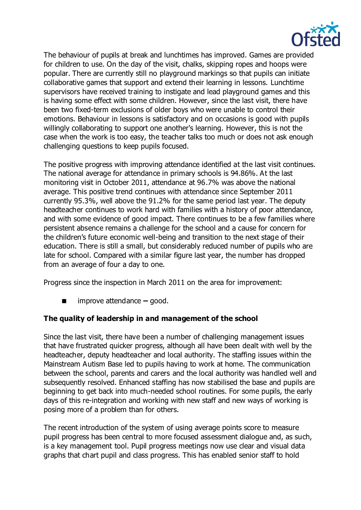

The behaviour of pupils at break and lunchtimes has improved. Games are provided for children to use. On the day of the visit, chalks, skipping ropes and hoops were popular. There are currently still no playground markings so that pupils can initiate collaborative games that support and extend their learning in lessons. Lunchtime supervisors have received training to instigate and lead playground games and this is having some effect with some children. However, since the last visit, there have been two fixed-term exclusions of older boys who were unable to control their emotions. Behaviour in lessons is satisfactory and on occasions is good with pupils willingly collaborating to support one another's learning. However, this is not the case when the work is too easy, the teacher talks too much or does not ask enough challenging questions to keep pupils focused.

The positive progress with improving attendance identified at the last visit continues. The national average for attendance in primary schools is 94.86%. At the last monitoring visit in October 2011, attendance at 96.7% was above the national average. This positive trend continues with attendance since September 2011 currently 95.3%, well above the 91.2% for the same period last year. The deputy headteacher continues to work hard with families with a history of poor attendance, and with some evidence of good impact. There continues to be a few families where persistent absence remains a challenge for the school and a cause for concern for the children's future economic well-being and transition to the next stage of their education. There is still a small, but considerably reduced number of pupils who are late for school. Compared with a similar figure last year, the number has dropped from an average of four a day to one.

Progress since the inspection in March 2011 on the area for improvement:

■ improve attendance – good.

# **The quality of leadership in and management of the school**

Since the last visit, there have been a number of challenging management issues that have frustrated quicker progress, although all have been dealt with well by the headteacher, deputy headteacher and local authority. The staffing issues within the Mainstream Autism Base led to pupils having to work at home. The communication between the school, parents and carers and the local authority was handled well and subsequently resolved. Enhanced staffing has now stabilised the base and pupils are beginning to get back into much-needed school routines. For some pupils, the early days of this re-integration and working with new staff and new ways of working is posing more of a problem than for others.

The recent introduction of the system of using average points score to measure pupil progress has been central to more focused assessment dialogue and, as such, is a key management tool. Pupil progress meetings now use clear and visual data graphs that chart pupil and class progress. This has enabled senior staff to hold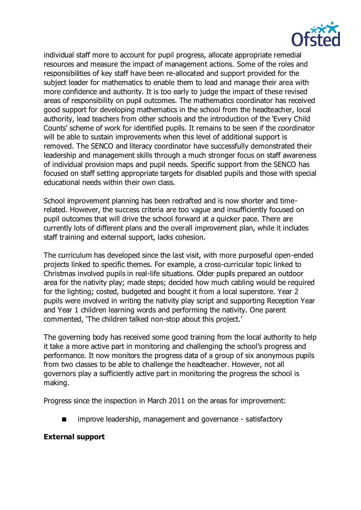

individual staff more to account for pupil progress, allocate appropriate remedial resources and measure the impact of management actions. Some of the roles and responsibilities of key staff have been re-allocated and support provided for the subject leader for mathematics to enable them to lead and manage their area with more confidence and authority. It is too early to judge the impact of these revised areas of responsibility on pupil outcomes. The mathematics coordinator has received good support for developing mathematics in the school from the headteacher, local authority, lead teachers from other schools and the introduction of the 'Every Child Counts' scheme of work for identified pupils. It remains to be seen if the coordinator will be able to sustain improvements when this level of additional support is removed. The SENCO and literacy coordinator have successfully demonstrated their leadership and management skills through a much stronger focus on staff awareness of individual provision maps and pupil needs. Specific support from the SENCO has focused on staff setting appropriate targets for disabled pupils and those with special educational needs within their own class.

School improvement planning has been redrafted and is now shorter and timerelated. However, the success criteria are too vague and insufficiently focused on pupil outcomes that will drive the school forward at a quicker pace. There are currently lots of different plans and the overall improvement plan, while it includes staff training and external support, lacks cohesion.

The curriculum has developed since the last visit, with more purposeful open-ended projects linked to specific themes. For example, a cross-curricular topic linked to Christmas involved pupils in real-life situations. Older pupils prepared an outdoor area for the nativity play; made steps; decided how much cabling would be required for the lighting; costed, budgeted and bought it from a local superstore. Year 2 pupils were involved in writing the nativity play script and supporting Reception Year and Year 1 children learning words and performing the nativity. One parent commented, 'The children talked non-stop about this project.'

The governing body has received some good training from the local authority to help it take a more active part in monitoring and challenging the school's progress and performance. It now monitors the progress data of a group of six anonymous pupils from two classes to be able to challenge the headteacher. However, not all governors play a sufficiently active part in monitoring the progress the school is making.

Progress since the inspection in March 2011 on the areas for improvement:

improve leadership, management and governance - satisfactory

### **External support**